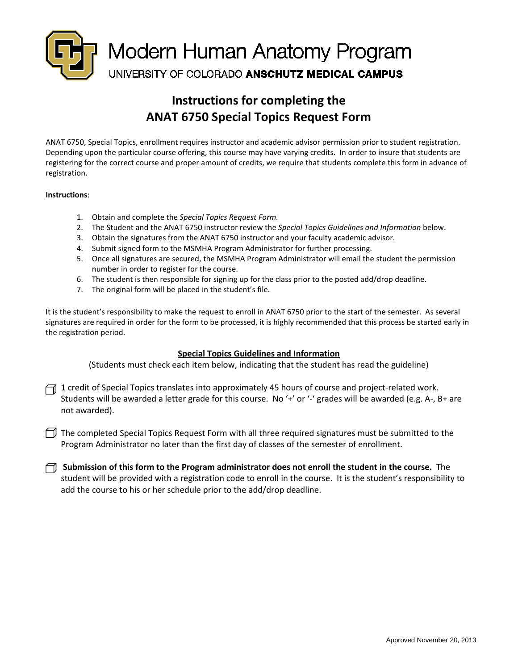

# **Instructions for completing the ANAT 6750 Special Topics Request Form**

ANAT 6750, Special Topics, enrollment requires instructor and academic advisor permission prior to student registration. Depending upon the particular course offering, this course may have varying credits. In order to insure that students are registering for the correct course and proper amount of credits, we require that students complete this form in advance of registration.

#### **Instructions**:

- 1. Obtain and complete the *Special Topics Request Form.*
- 2. The Student and the ANAT 6750 instructor review the *Special Topics Guidelines and Information* below.
- 3. Obtain the signatures from the ANAT 6750 instructor and your faculty academic advisor.
- 4. Submit signed form to the MSMHA Program Administrator for further processing.
- 5. Once all signatures are secured, the MSMHA Program Administrator will email the student the permission number in order to register for the course.
- 6. The student is then responsible for signing up for the class prior to the posted add/drop deadline.
- 7. The original form will be placed in the student's file.

It is the student's responsibility to make the request to enroll in ANAT 6750 prior to the start of the semester. As several signatures are required in order for the form to be processed, it is highly recommended that this process be started early in the registration period.

### **Special Topics Guidelines and Information**

(Students must check each item below, indicating that the student has read the guideline)

1 credit of Special Topics translates into approximately 45 hours of course and project-related work. Students will be awarded a letter grade for this course. No '+' or '-' grades will be awarded (e.g. A-, B+ are not awarded).

The completed Special Topics Request Form with all three required signatures must be submitted to the Program Administrator no later than the first day of classes of the semester of enrollment.

**Submission of this form to the Program administrator does not enroll the student in the course.** The student will be provided with a registration code to enroll in the course. It is the student's responsibility to add the course to his or her schedule prior to the add/drop deadline.